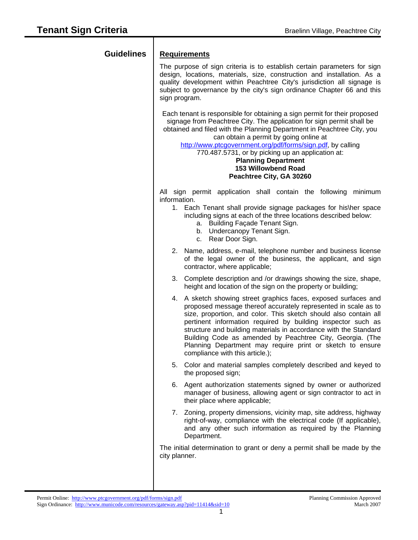$\overline{1}$ 

| <b>Guidelines</b> | <b>Requirements</b><br>The purpose of sign criteria is to establish certain parameters for sign<br>design, locations, materials, size, construction and installation. As a<br>quality development within Peachtree City's jurisdiction all signage is<br>subject to governance by the city's sign ordinance Chapter 66 and this<br>sign program.                                                                                                                                                       |
|-------------------|--------------------------------------------------------------------------------------------------------------------------------------------------------------------------------------------------------------------------------------------------------------------------------------------------------------------------------------------------------------------------------------------------------------------------------------------------------------------------------------------------------|
|                   | Each tenant is responsible for obtaining a sign permit for their proposed<br>signage from Peachtree City. The application for sign permit shall be<br>obtained and filed with the Planning Department in Peachtree City, you<br>can obtain a permit by going online at<br>http://www.ptcgovernment.org/pdf/forms/sign.pdf, by calling<br>770.487.5731, or by picking up an application at:<br><b>Planning Department</b><br>153 Willowbend Road<br>Peachtree City, GA 30260                            |
|                   | All sign permit application shall contain the following minimum<br>information.<br>1. Each Tenant shall provide signage packages for his\her space<br>including signs at each of the three locations described below:<br>Building Façade Tenant Sign.<br>а.<br>Undercanopy Tenant Sign.<br>b.<br>c. Rear Door Sign.                                                                                                                                                                                    |
|                   | 2. Name, address, e-mail, telephone number and business license<br>of the legal owner of the business, the applicant, and sign<br>contractor, where applicable;                                                                                                                                                                                                                                                                                                                                        |
|                   | 3. Complete description and /or drawings showing the size, shape,<br>height and location of the sign on the property or building;                                                                                                                                                                                                                                                                                                                                                                      |
|                   | 4. A sketch showing street graphics faces, exposed surfaces and<br>proposed message thereof accurately represented in scale as to<br>size, proportion, and color. This sketch should also contain all<br>pertinent information required by building inspector such as<br>structure and building materials in accordance with the Standard<br>Building Code as amended by Peachtree City, Georgia. (The<br>Planning Department may require print or sketch to ensure<br>compliance with this article.); |
|                   | 5. Color and material samples completely described and keyed to<br>the proposed sign;                                                                                                                                                                                                                                                                                                                                                                                                                  |
|                   | 6. Agent authorization statements signed by owner or authorized<br>manager of business, allowing agent or sign contractor to act in<br>their place where applicable;                                                                                                                                                                                                                                                                                                                                   |
|                   | 7. Zoning, property dimensions, vicinity map, site address, highway<br>right-of-way, compliance with the electrical code (If applicable),<br>and any other such information as required by the Planning<br>Department.                                                                                                                                                                                                                                                                                 |
|                   | The initial determination to grant or deny a permit shall be made by the<br>city planner.                                                                                                                                                                                                                                                                                                                                                                                                              |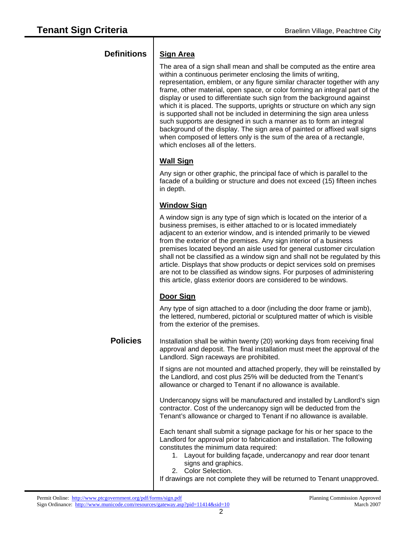| <b>Definitions</b> | <b>Sign Area</b>                                                                                                                                                                                                                                                                                                                                                                                                                                                                                                                                                                                                                                                                                                                                                                                       |
|--------------------|--------------------------------------------------------------------------------------------------------------------------------------------------------------------------------------------------------------------------------------------------------------------------------------------------------------------------------------------------------------------------------------------------------------------------------------------------------------------------------------------------------------------------------------------------------------------------------------------------------------------------------------------------------------------------------------------------------------------------------------------------------------------------------------------------------|
|                    | The area of a sign shall mean and shall be computed as the entire area<br>within a continuous perimeter enclosing the limits of writing,<br>representation, emblem, or any figure similar character together with any<br>frame, other material, open space, or color forming an integral part of the<br>display or used to differentiate such sign from the background against<br>which it is placed. The supports, uprights or structure on which any sign<br>is supported shall not be included in determining the sign area unless<br>such supports are designed in such a manner as to form an integral<br>background of the display. The sign area of painted or affixed wall signs<br>when composed of letters only is the sum of the area of a rectangle,<br>which encloses all of the letters. |
|                    | <b>Wall Sign</b>                                                                                                                                                                                                                                                                                                                                                                                                                                                                                                                                                                                                                                                                                                                                                                                       |
|                    | Any sign or other graphic, the principal face of which is parallel to the<br>facade of a building or structure and does not exceed (15) fifteen inches<br>in depth.                                                                                                                                                                                                                                                                                                                                                                                                                                                                                                                                                                                                                                    |
|                    | <b>Window Sign</b>                                                                                                                                                                                                                                                                                                                                                                                                                                                                                                                                                                                                                                                                                                                                                                                     |
|                    | A window sign is any type of sign which is located on the interior of a<br>business premises, is either attached to or is located immediately<br>adjacent to an exterior window, and is intended primarily to be viewed<br>from the exterior of the premises. Any sign interior of a business<br>premises located beyond an aisle used for general customer circulation<br>shall not be classified as a window sign and shall not be regulated by this<br>article. Displays that show products or depict services sold on premises<br>are not to be classified as window signs. For purposes of administering<br>this article, glass exterior doors are considered to be windows.                                                                                                                      |
|                    | Door Sign                                                                                                                                                                                                                                                                                                                                                                                                                                                                                                                                                                                                                                                                                                                                                                                              |
|                    | Any type of sign attached to a door (including the door frame or jamb),<br>the lettered, numbered, pictorial or sculptured matter of which is visible<br>from the exterior of the premises.                                                                                                                                                                                                                                                                                                                                                                                                                                                                                                                                                                                                            |
| <b>Policies</b>    | Installation shall be within twenty (20) working days from receiving final<br>approval and deposit. The final installation must meet the approval of the<br>Landlord. Sign raceways are prohibited.                                                                                                                                                                                                                                                                                                                                                                                                                                                                                                                                                                                                    |
|                    | If signs are not mounted and attached properly, they will be reinstalled by<br>the Landlord, and cost plus 25% will be deducted from the Tenant's<br>allowance or charged to Tenant if no allowance is available.                                                                                                                                                                                                                                                                                                                                                                                                                                                                                                                                                                                      |
|                    | Undercanopy signs will be manufactured and installed by Landlord's sign<br>contractor. Cost of the undercanopy sign will be deducted from the<br>Tenant's allowance or charged to Tenant if no allowance is available.                                                                                                                                                                                                                                                                                                                                                                                                                                                                                                                                                                                 |
|                    | Each tenant shall submit a signage package for his or her space to the<br>Landlord for approval prior to fabrication and installation. The following<br>constitutes the minimum data required:<br>1. Layout for building façade, undercanopy and rear door tenant<br>signs and graphics.<br>2. Color Selection.                                                                                                                                                                                                                                                                                                                                                                                                                                                                                        |
|                    | If drawings are not complete they will be returned to Tenant unapproved.                                                                                                                                                                                                                                                                                                                                                                                                                                                                                                                                                                                                                                                                                                                               |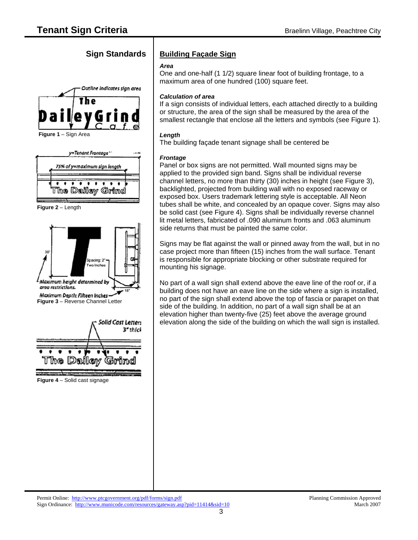





 **Figure 2** – Length



## **Sign Standards | Building Façade Sign**

### *Area*

One and one-half (1 1/2) square linear foot of building frontage, to a maximum area of one hundred (100) square feet.

#### *Calculation of area*

If a sign consists of individual letters, each attached directly to a building or structure, the area of the sign shall be measured by the area of the smallest rectangle that enclose all the letters and symbols (see Figure 1).

### *Length*

The building façade tenant signage shall be centered be

### *Frontage*

Panel or box signs are not permitted. Wall mounted signs may be applied to the provided sign band. Signs shall be individual reverse channel letters, no more than thirty (30) inches in height (see Figure 3), backlighted, projected from building wall with no exposed raceway or exposed box. Users trademark lettering style is acceptable. All Neon tubes shall be white, and concealed by an opaque cover. Signs may also be solid cast (see Figure 4). Signs shall be individually reverse channel lit metal letters, fabricated of .090 aluminum fronts and .063 aluminum side returns that must be painted the same color.

Signs may be flat against the wall or pinned away from the wall, but in no case project more than fifteen (15) inches from the wall surface. Tenant is responsible for appropriate blocking or other substrate required for mounting his signage.

No part of a wall sign shall extend above the eave line of the roof or, if a building does not have an eave line on the side where a sign is installed, no part of the sign shall extend above the top of fascia or parapet on that side of the building. In addition, no part of a wall sign shall be at an elevation higher than twenty-five (25) feet above the average ground elevation along the side of the building on which the wall sign is installed.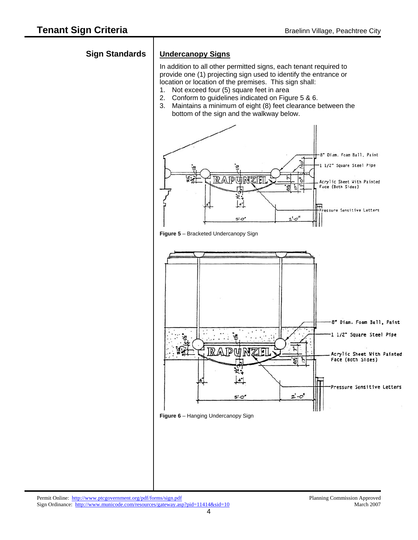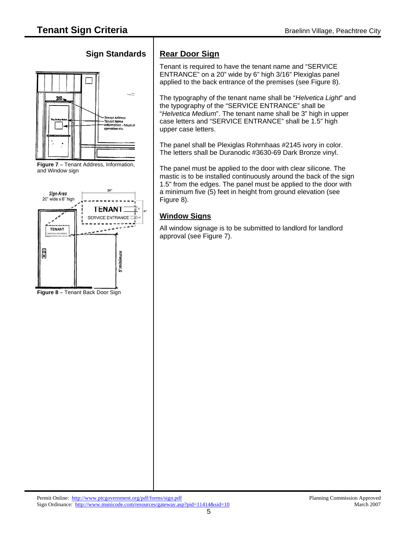# **Sign Standards | Rear Door Sign**







 **Figure 8** – Tenant Back Door Sign

Tenant is required to have the tenant name and "SERVICE ENTRANCE" on a 20" wide by 6" high 3/16" Plexiglas panel applied to the back entrance of the premises (see Figure 8).

The typography of the tenant name shall be "*Helvetica Light*" and the typography of the "SERVICE ENTRANCE" shall be "*Helvetica Medium*". The tenant name shall be 3" high in upper case letters and "SERVICE ENTRANCE" shall be 1.5" high upper case letters.

The panel shall be Plexiglas Rohrnhaas #2145 ivory in color. The letters shall be Duranodic #3630-69 Dark Bronze vinyl.

The panel must be applied to the door with clear silicone. The mastic is to be installed continuously around the back of the sign 1.5" from the edges. The panel must be applied to the door with a minimum five (5) feet in height from ground elevation (see Figure 8).

## **Window Signs**

All window signage is to be submitted to landlord for landlord approval (see Figure 7).